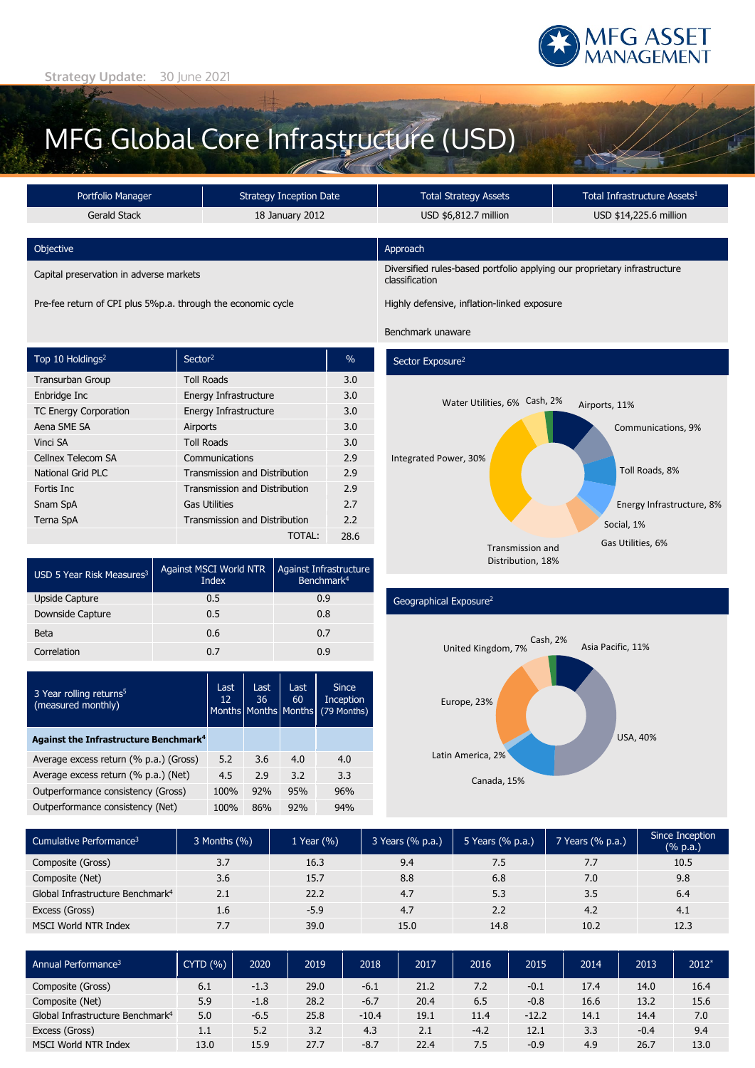

## MFG Global Core Infrastructure (USD)

| Portfolio Manager                                            |                     | <b>Strategy Inception Date</b>                                                                |                 | <b>Total Strategy Assets</b> |                                                      | Total Infrastructure Assets <sup>1</sup> |  |                           |  |  |  |
|--------------------------------------------------------------|---------------------|-----------------------------------------------------------------------------------------------|-----------------|------------------------------|------------------------------------------------------|------------------------------------------|--|---------------------------|--|--|--|
|                                                              |                     |                                                                                               |                 |                              |                                                      |                                          |  |                           |  |  |  |
| <b>Gerald Stack</b>                                          |                     |                                                                                               | 18 January 2012 |                              | USD \$6,812.7 million                                |                                          |  | USD \$14,225.6 million    |  |  |  |
|                                                              |                     |                                                                                               |                 |                              |                                                      |                                          |  |                           |  |  |  |
| Objective                                                    |                     |                                                                                               |                 | Approach                     |                                                      |                                          |  |                           |  |  |  |
| Capital preservation in adverse markets                      |                     | Diversified rules-based portfolio applying our proprietary infrastructure<br>classification   |                 |                              |                                                      |                                          |  |                           |  |  |  |
| Pre-fee return of CPI plus 5%p.a. through the economic cycle |                     |                                                                                               |                 |                              | Highly defensive, inflation-linked exposure          |                                          |  |                           |  |  |  |
|                                                              |                     | Benchmark unaware                                                                             |                 |                              |                                                      |                                          |  |                           |  |  |  |
| Top 10 Holdings <sup>2</sup>                                 | Sector <sup>2</sup> |                                                                                               |                 | $\frac{0}{0}$                | Sector Exposure <sup>2</sup>                         |                                          |  |                           |  |  |  |
| Transurban Group                                             | <b>Toll Roads</b>   |                                                                                               |                 | 3.0                          |                                                      |                                          |  |                           |  |  |  |
| Enbridge Inc<br>Energy Infrastructure                        |                     |                                                                                               |                 | 3.0                          | Water Utilities, 6% Cash, 2%<br>Airports, 11%<br>3.0 |                                          |  |                           |  |  |  |
| TC Energy Corporation<br>Energy Infrastructure               |                     |                                                                                               |                 |                              |                                                      |                                          |  |                           |  |  |  |
| Aena SME SA<br>Airports                                      |                     |                                                                                               |                 | 3.0                          |                                                      | Communications, 9%                       |  |                           |  |  |  |
| Vinci SA<br><b>Toll Roads</b>                                |                     |                                                                                               |                 | 3.0                          |                                                      |                                          |  |                           |  |  |  |
| Cellnex Telecom SA<br>Communications                         |                     |                                                                                               | 2.9             | Integrated Power, 30%        |                                                      |                                          |  |                           |  |  |  |
| <b>National Grid PLC</b><br>Fortis Inc<br>Snam SpA           |                     | Transmission and Distribution<br><b>Transmission and Distribution</b><br><b>Gas Utilities</b> |                 | 2.9                          |                                                      |                                          |  | Toll Roads, 8%            |  |  |  |
|                                                              |                     |                                                                                               |                 | 2.9                          |                                                      |                                          |  |                           |  |  |  |
|                                                              |                     |                                                                                               |                 | 2.7                          |                                                      |                                          |  | Energy Infrastructure, 8% |  |  |  |
| <b>Terna SpA</b>                                             |                     | Transmission and Distribution                                                                 |                 | 2.2                          |                                                      |                                          |  | Social, 1%                |  |  |  |
|                                                              |                     |                                                                                               | TOTAL:          | 28.6                         |                                                      |                                          |  | Gas Utilities, 6%         |  |  |  |
|                                                              |                     |                                                                                               |                 |                              |                                                      | <b>Transmission and</b>                  |  |                           |  |  |  |
| USD 5 Year Risk Measures <sup>3</sup>                        |                     | Against MSCI World NTR<br>Against Infrastructure<br>Benchmark <sup>4</sup><br>Index           |                 |                              |                                                      | Distribution, 18%                        |  |                           |  |  |  |
| <b>Upside Capture</b>                                        |                     | 0.5<br>0.9                                                                                    |                 |                              | Geographical Exposure <sup>2</sup>                   |                                          |  |                           |  |  |  |
| Downside Capture                                             | 0.5                 |                                                                                               | 0.8             |                              |                                                      |                                          |  |                           |  |  |  |

| Beta                                                      | 0.6 |            |            | 0.7                                    |                                          |  |  |
|-----------------------------------------------------------|-----|------------|------------|----------------------------------------|------------------------------------------|--|--|
| Correlation                                               | 0.7 |            |            |                                        | 0.9                                      |  |  |
|                                                           |     |            |            |                                        |                                          |  |  |
| 3 Year rolling returns <sup>5</sup><br>(measured monthly) |     | Last<br>12 | Last<br>36 | Last<br>60<br>Months   Months   Months | <b>Since</b><br>Inception<br>(79 Months) |  |  |
| Against the Infrastructure Benchmark <sup>4</sup>         |     |            |            |                                        |                                          |  |  |
| Average excess return (% p.a.) (Gross)                    |     | 5.2        | 3.6        | 4.0                                    | 4.0                                      |  |  |
| Average excess return (% p.a.) (Net)                      |     | 4.5        | 2.9        | 3.2                                    | 3.3                                      |  |  |
| Outperformance consistency (Gross)                        |     | 100%       | 92%        | 95%                                    | 96%                                      |  |  |

Outperformance consistency (Net)  $100\%$  86% 92% 94%



| Cumulative Performance <sup>3</sup>          | 3 Months (%) | 1 Year $(\% )$ | 3 Years (% p.a.) | 5 Years (% p.a.) | 7 Years (% p.a.) | Since Inception<br>(% p.a.) |
|----------------------------------------------|--------------|----------------|------------------|------------------|------------------|-----------------------------|
| Composite (Gross)                            | 3.7          | 16.3           | 9.4              | 7.5              | 7.7              | 10.5                        |
| Composite (Net)                              | 3.6          | 15.7           | 8.8              | 6.8              | 7.0              | 9.8                         |
| Global Infrastructure Benchmark <sup>4</sup> | 2.1          | 22.2           | 4.7              | 5.3              | 3.5              | 6.4                         |
| Excess (Gross)                               | 1.6          | $-5.9$         | 4.7              | 2.2              | 4.2              | 4.1                         |
| MSCI World NTR Index                         | 7.7          | 39.0           | 15.0             | 14.8             | 10.2             | 12.3                        |

| Annual Performance <sup>3</sup>              | CYTD(%) | 2020   | 2019 | 2018    | 2017 | 2016   | 2015    | 2014 | 2013   | $2012*$ |
|----------------------------------------------|---------|--------|------|---------|------|--------|---------|------|--------|---------|
| Composite (Gross)                            | 6.1     | $-1.3$ | 29.0 | $-6.1$  | 21.2 | 7.2    | $-0.1$  | 17.4 | 14.0   | 16.4    |
| Composite (Net)                              | 5.9     | $-1.8$ | 28.2 | $-6.7$  | 20.4 | 6.5    | $-0.8$  | 16.6 | 13.2   | 15.6    |
| Global Infrastructure Benchmark <sup>4</sup> | 5.0     | $-6.5$ | 25.8 | $-10.4$ | 19.1 | 11.4   | $-12.2$ | 14.1 | 14.4   | 7.0     |
| Excess (Gross)                               | 1.1     | 5.2    | 3.2  | 4.3     | 2.1  | $-4.2$ | 12.1    | 3.3  | $-0.4$ | 9.4     |
| <b>MSCI World NTR Index</b>                  | 13.0    | 15.9   | 27.7 | $-8.7$  | 22.4 | 7.5    | $-0.9$  | 4.9  | 26.7   | 13.0    |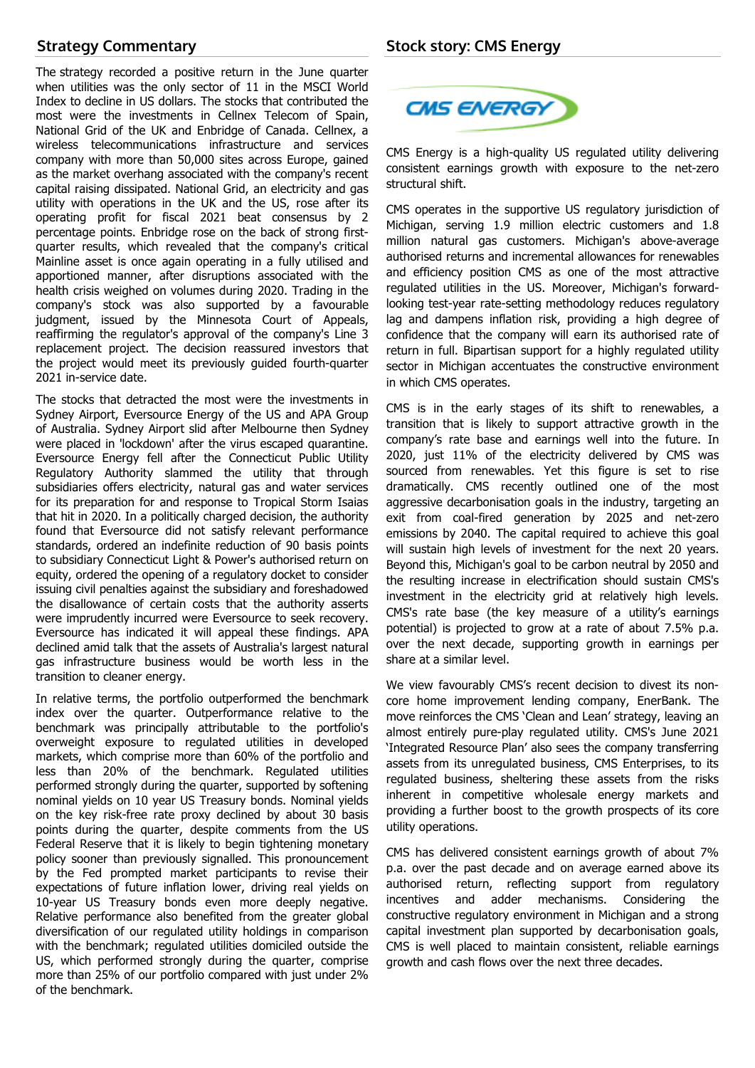## **Strategy Commentary**

The strategy recorded a positive return in the June quarter when utilities was the only sector of 11 in the MSCI World Index to decline in US dollars. The stocks that contributed the most were the investments in Cellnex Telecom of Spain, National Grid of the UK and Enbridge of Canada. Cellnex, a wireless telecommunications infrastructure and services company with more than 50,000 sites across Europe, gained as the market overhang associated with the company's recent capital raising dissipated. National Grid, an electricity and gas utility with operations in the UK and the US, rose after its operating profit for fiscal 2021 beat consensus by 2 percentage points. Enbridge rose on the back of strong firstquarter results, which revealed that the company's critical Mainline asset is once again operating in a fully utilised and apportioned manner, after disruptions associated with the health crisis weighed on volumes during 2020. Trading in the company's stock was also supported by a favourable judgment, issued by the Minnesota Court of Appeals, reaffirming the regulator's approval of the company's Line 3 replacement project. The decision reassured investors that the project would meet its previously guided fourth-quarter 2021 in-service date.

The stocks that detracted the most were the investments in Sydney Airport, Eversource Energy of the US and APA Group of Australia. Sydney Airport slid after Melbourne then Sydney were placed in 'lockdown' after the virus escaped quarantine. Eversource Energy fell after the Connecticut Public Utility Regulatory Authority slammed the utility that through subsidiaries offers electricity, natural gas and water services for its preparation for and response to Tropical Storm Isaias that hit in 2020. In a politically charged decision, the authority found that Eversource did not satisfy relevant performance standards, ordered an indefinite reduction of 90 basis points to subsidiary Connecticut Light & Power's authorised return on equity, ordered the opening of a regulatory docket to consider issuing civil penalties against the subsidiary and foreshadowed the disallowance of certain costs that the authority asserts were imprudently incurred were Eversource to seek recovery. Eversource has indicated it will appeal these findings. APA declined amid talk that the assets of Australia's largest natural gas infrastructure business would be worth less in the transition to cleaner energy.

In relative terms, the portfolio outperformed the benchmark index over the quarter. Outperformance relative to the benchmark was principally attributable to the portfolio's overweight exposure to regulated utilities in developed markets, which comprise more than 60% of the portfolio and less than 20% of the benchmark. Regulated utilities performed strongly during the quarter, supported by softening nominal yields on 10 year US Treasury bonds. Nominal yields on the key risk-free rate proxy declined by about 30 basis points during the quarter, despite comments from the US Federal Reserve that it is likely to begin tightening monetary policy sooner than previously signalled. This pronouncement by the Fed prompted market participants to revise their expectations of future inflation lower, driving real yields on 10-year US Treasury bonds even more deeply negative. Relative performance also benefited from the greater global diversification of our regulated utility holdings in comparison with the benchmark; regulated utilities domiciled outside the US, which performed strongly during the quarter, comprise more than 25% of our portfolio compared with just under 2% of the benchmark.



CMS Energy is a high-quality US regulated utility delivering consistent earnings growth with exposure to the net-zero structural shift.

CMS operates in the supportive US regulatory jurisdiction of Michigan, serving 1.9 million electric customers and 1.8 million natural gas customers. Michigan's above-average authorised returns and incremental allowances for renewables and efficiency position CMS as one of the most attractive regulated utilities in the US. Moreover, Michigan's forwardlooking test-year rate-setting methodology reduces regulatory lag and dampens inflation risk, providing a high degree of confidence that the company will earn its authorised rate of return in full. Bipartisan support for a highly regulated utility sector in Michigan accentuates the constructive environment in which CMS operates.

CMS is in the early stages of its shift to renewables, a transition that is likely to support attractive growth in the company's rate base and earnings well into the future. In 2020, just 11% of the electricity delivered by CMS was sourced from renewables. Yet this figure is set to rise dramatically. CMS recently outlined one of the most aggressive decarbonisation goals in the industry, targeting an exit from coal-fired generation by 2025 and net-zero emissions by 2040. The capital required to achieve this goal will sustain high levels of investment for the next 20 years. Beyond this, Michigan's goal to be carbon neutral by 2050 and the resulting increase in electrification should sustain CMS's investment in the electricity grid at relatively high levels. CMS's rate base (the key measure of a utility's earnings potential) is projected to grow at a rate of about 7.5% p.a. over the next decade, supporting growth in earnings per share at a similar level.

We view favourably CMS's recent decision to divest its noncore home improvement lending company, EnerBank. The move reinforces the CMS 'Clean and Lean' strategy, leaving an almost entirely pure-play regulated utility. CMS's June 2021 'Integrated Resource Plan' also sees the company transferring assets from its unregulated business, CMS Enterprises, to its regulated business, sheltering these assets from the risks inherent in competitive wholesale energy markets and providing a further boost to the growth prospects of its core utility operations.

CMS has delivered consistent earnings growth of about 7% p.a. over the past decade and on average earned above its authorised return, reflecting support from regulatory incentives and adder mechanisms. Considering the constructive regulatory environment in Michigan and a strong capital investment plan supported by decarbonisation goals, CMS is well placed to maintain consistent, reliable earnings growth and cash flows over the next three decades.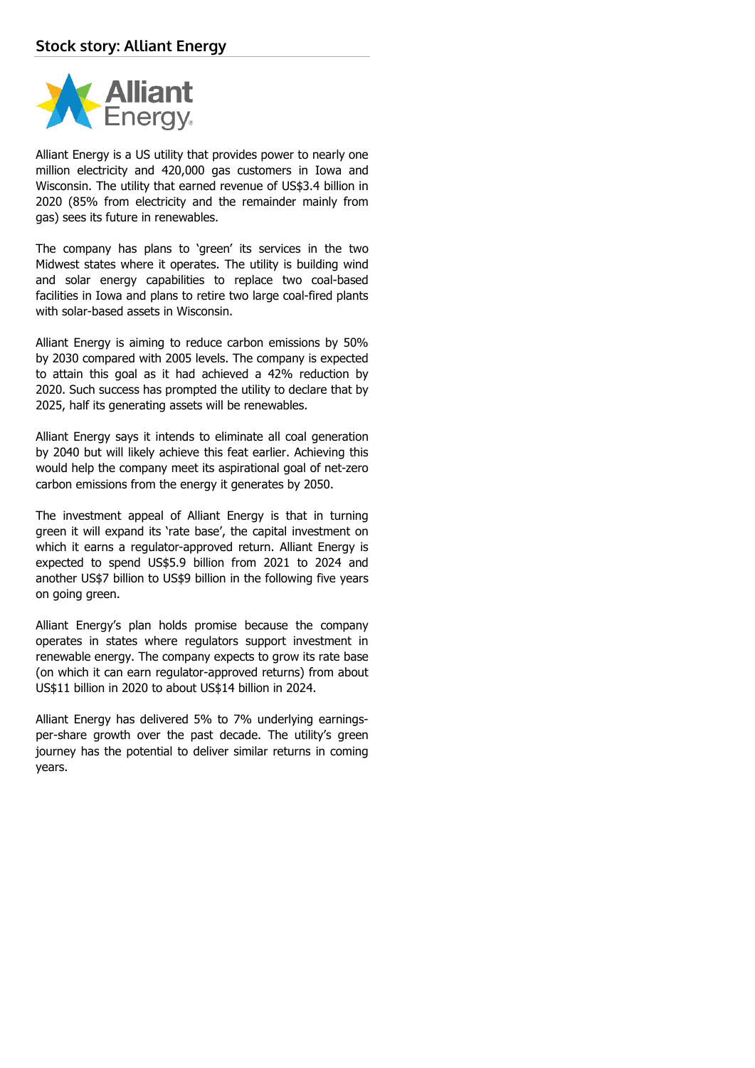

Alliant Energy is a US utility that provides power to nearly one million electricity and 420,000 gas customers in Iowa and Wisconsin. The utility that earned revenue of US\$3.4 billion in 2020 (85% from electricity and the remainder mainly from gas) sees its future in renewables.

The company has plans to 'green' its services in the two Midwest states where it operates. The utility is building wind and solar energy capabilities to replace two coal-based facilities in Iowa and plans to retire two large coal-fired plants with solar-based assets in Wisconsin.

Alliant Energy is aiming to reduce carbon emissions by 50% by 2030 compared with 2005 levels. The company is expected to attain this goal as it had achieved a 42% reduction by 2020. Such success has prompted the utility to declare that by 2025, half its generating assets will be renewables.

Alliant Energy says it intends to eliminate all coal generation by 2040 but will likely achieve this feat earlier. Achieving this would help the company meet its aspirational goal of net-zero carbon emissions from the energy it generates by 2050.

The investment appeal of Alliant Energy is that in turning green it will expand its 'rate base', the capital investment on which it earns a regulator-approved return. Alliant Energy is expected to spend US\$5.9 billion from 2021 to 2024 and another US\$7 billion to US\$9 billion in the following five years on going green.

Alliant Energy's plan holds promise because the company operates in states where regulators support investment in renewable energy. The company expects to grow its rate base (on which it can earn regulator-approved returns) from about US\$11 billion in 2020 to about US\$14 billion in 2024.

Alliant Energy has delivered 5% to 7% underlying earningsper-share growth over the past decade. The utility's green journey has the potential to deliver similar returns in coming years.